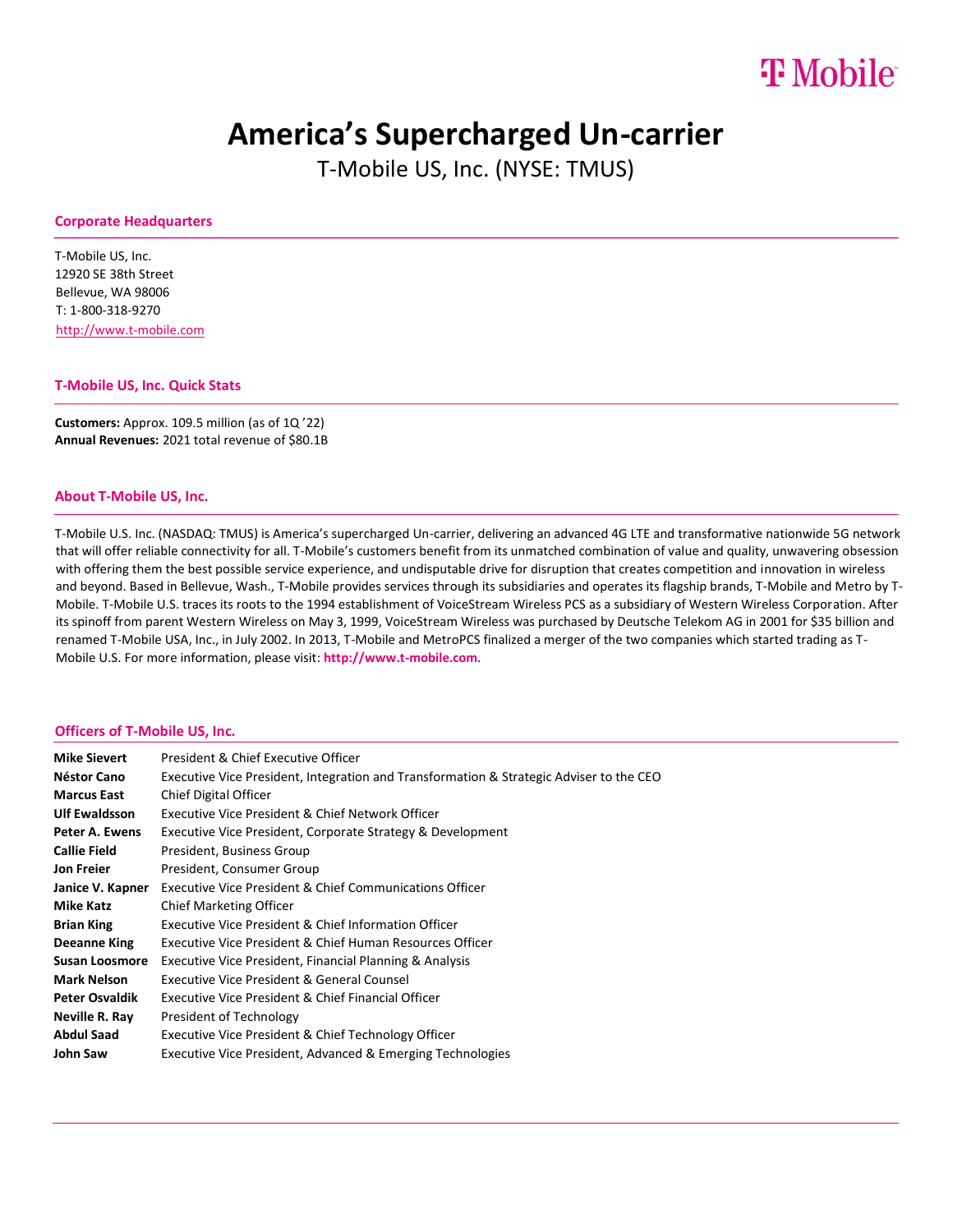# $T M_0$ hile

## **America's Supercharged Un-carrier**

T-Mobile US, Inc. (NYSE: TMUS)

#### **Corporate Headquarters**

T-Mobile US, Inc. 12920 SE 38th Street Bellevue, WA 98006 T: 1-800-318-9270 [http://www.t-mobile.com](http://www.t-mobile.com/)

#### **T-Mobile US, Inc. Quick Stats**

**Customers:** Approx. 109.5 million (as of 1Q '22) **Annual Revenues:** 2021 total revenue of \$80.1B

#### **About T-Mobile US, Inc.**

T-Mobile U.S. Inc. (NASDAQ: TMUS) is America's supercharged Un-carrier, delivering an advanced 4G LTE and transformative nationwide 5G network that will offer reliable connectivity for all. T-Mobile's customers benefit from its unmatched combination of value and quality, unwavering obsession with offering them the best possible service experience, and undisputable drive for disruption that creates competition and innovation in wireless and beyond. Based in Bellevue, Wash., T-Mobile provides services through its subsidiaries and operates its flagship brands, T-Mobile and Metro by T-Mobile. T-Mobile U.S. traces its roots to the 1994 establishment of VoiceStream Wireless PCS as a subsidiary of Western Wireless Corporation. After its spinoff from parent Western Wireless on May 3, 1999, VoiceStream Wireless was purchased by Deutsche Telekom AG in 2001 for \$35 billion and renamed T-Mobile USA, Inc., in July 2002. In 2013, T-Mobile and MetroPCS finalized a merger of the two companies which started trading as T-Mobile U.S. For more information, please visi[t:](https://www.t-mobile.com/) **[http://www.t-mobile.com](https://www.t-mobile.com/)**[.](https://www.t-mobile.com/)

#### **Officers of T-Mobile US, Inc.**

| <b>Mike Sievert</b>   | President & Chief Executive Officer                                                     |
|-----------------------|-----------------------------------------------------------------------------------------|
| Néstor Cano           | Executive Vice President, Integration and Transformation & Strategic Adviser to the CEO |
| <b>Marcus East</b>    | Chief Digital Officer                                                                   |
| <b>Ulf Ewaldsson</b>  | Executive Vice President & Chief Network Officer                                        |
| Peter A. Ewens        | Executive Vice President, Corporate Strategy & Development                              |
| <b>Callie Field</b>   | President, Business Group                                                               |
| Jon Freier            | President, Consumer Group                                                               |
| Janice V. Kapner      | Executive Vice President & Chief Communications Officer                                 |
| <b>Mike Katz</b>      | Chief Marketing Officer                                                                 |
| <b>Brian King</b>     | Executive Vice President & Chief Information Officer                                    |
| Deeanne King          | Executive Vice President & Chief Human Resources Officer                                |
| Susan Loosmore        | Executive Vice President, Financial Planning & Analysis                                 |
| Mark Nelson           | Executive Vice President & General Counsel                                              |
| <b>Peter Osvaldik</b> | Executive Vice President & Chief Financial Officer                                      |
| Neville R. Ray        | President of Technology                                                                 |
| Abdul Saad            | Executive Vice President & Chief Technology Officer                                     |
| John Saw              | Executive Vice President, Advanced & Emerging Technologies                              |